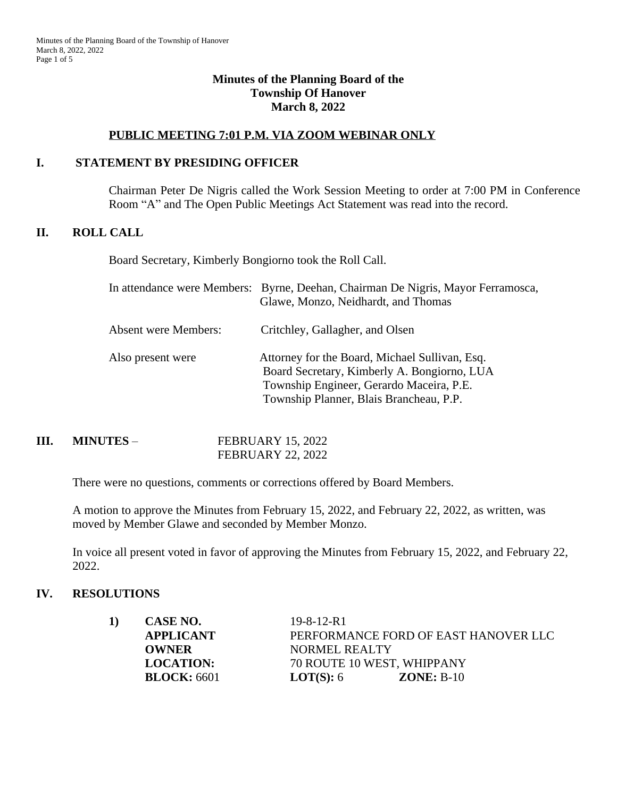#### **Minutes of the Planning Board of the Township Of Hanover March 8, 2022**

# **PUBLIC MEETING 7:01 P.M. VIA ZOOM WEBINAR ONLY**

#### **I. STATEMENT BY PRESIDING OFFICER**

Chairman Peter De Nigris called the Work Session Meeting to order at 7:00 PM in Conference Room "A" and The Open Public Meetings Act Statement was read into the record.

#### **II. ROLL CALL**

Board Secretary, Kimberly Bongiorno took the Roll Call.

|                             | In attendance were Members: Byrne, Deehan, Chairman De Nigris, Mayor Ferramosca,<br>Glawe, Monzo, Neidhardt, and Thomas                                                              |
|-----------------------------|--------------------------------------------------------------------------------------------------------------------------------------------------------------------------------------|
| <b>Absent were Members:</b> | Critchley, Gallagher, and Olsen                                                                                                                                                      |
| Also present were           | Attorney for the Board, Michael Sullivan, Esq.<br>Board Secretary, Kimberly A. Bongiorno, LUA<br>Township Engineer, Gerardo Maceira, P.E.<br>Township Planner, Blais Brancheau, P.P. |

| Ш. | <b>MINUTES –</b> | <b>FEBRUARY 15, 2022</b> |
|----|------------------|--------------------------|
|    |                  | <b>FEBRUARY 22, 2022</b> |

There were no questions, comments or corrections offered by Board Members.

A motion to approve the Minutes from February 15, 2022, and February 22, 2022, as written, was moved by Member Glawe and seconded by Member Monzo.

In voice all present voted in favor of approving the Minutes from February 15, 2022, and February 22, 2022.

#### **IV. RESOLUTIONS**

| 1) | <b>CASE NO.</b>    | $19 - 8 - 12 - R1$ |                                      |
|----|--------------------|--------------------|--------------------------------------|
|    | <b>APPLICANT</b>   |                    | PERFORMANCE FORD OF EAST HANOVER LLC |
|    | OWNER              | NORMEL REALTY      |                                      |
|    | <b>LOCATION:</b>   |                    | 70 ROUTE 10 WEST, WHIPPANY           |
|    | <b>BLOCK:</b> 6601 | <b>LOT(S):</b> $6$ | $ZONE: B-10$                         |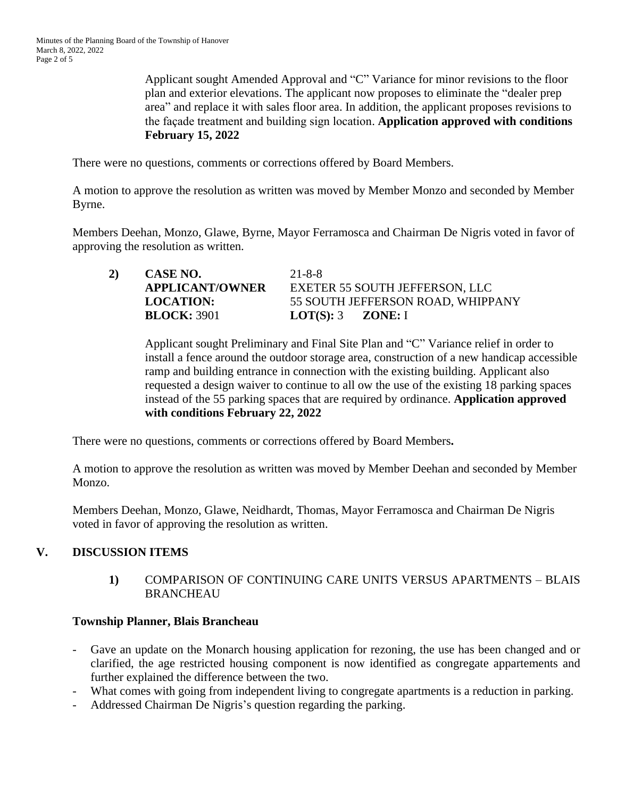Applicant sought Amended Approval and "C" Variance for minor revisions to the floor plan and exterior elevations. The applicant now proposes to eliminate the "dealer prep area" and replace it with sales floor area. In addition, the applicant proposes revisions to the façade treatment and building sign location. **Application approved with conditions February 15, 2022**

There were no questions, comments or corrections offered by Board Members.

A motion to approve the resolution as written was moved by Member Monzo and seconded by Member Byrne.

Members Deehan, Monzo, Glawe, Byrne, Mayor Ferramosca and Chairman De Nigris voted in favor of approving the resolution as written.

| 2) | CASE NO.               | $21 - 8 - 8$                      |
|----|------------------------|-----------------------------------|
|    | <b>APPLICANT/OWNER</b> | EXETER 55 SOUTH JEFFERSON, LLC    |
|    | <b>LOCATION:</b>       | 55 SOUTH JEFFERSON ROAD, WHIPPANY |
|    | <b>BLOCK: 3901</b>     | $LOT(S): 3 \quad \text{ZONE}: I$  |

Applicant sought Preliminary and Final Site Plan and "C" Variance relief in order to install a fence around the outdoor storage area, construction of a new handicap accessible ramp and building entrance in connection with the existing building. Applicant also requested a design waiver to continue to all ow the use of the existing 18 parking spaces instead of the 55 parking spaces that are required by ordinance. **Application approved with conditions February 22, 2022**

There were no questions, comments or corrections offered by Board Members**.**

A motion to approve the resolution as written was moved by Member Deehan and seconded by Member Monzo.

Members Deehan, Monzo, Glawe, Neidhardt, Thomas, Mayor Ferramosca and Chairman De Nigris voted in favor of approving the resolution as written.

# **V. DISCUSSION ITEMS**

**1)** COMPARISON OF CONTINUING CARE UNITS VERSUS APARTMENTS – BLAIS **BRANCHEAU** 

# **Township Planner, Blais Brancheau**

- Gave an update on the Monarch housing application for rezoning, the use has been changed and or clarified, the age restricted housing component is now identified as congregate appartements and further explained the difference between the two.
- What comes with going from independent living to congregate apartments is a reduction in parking.
- Addressed Chairman De Nigris's question regarding the parking.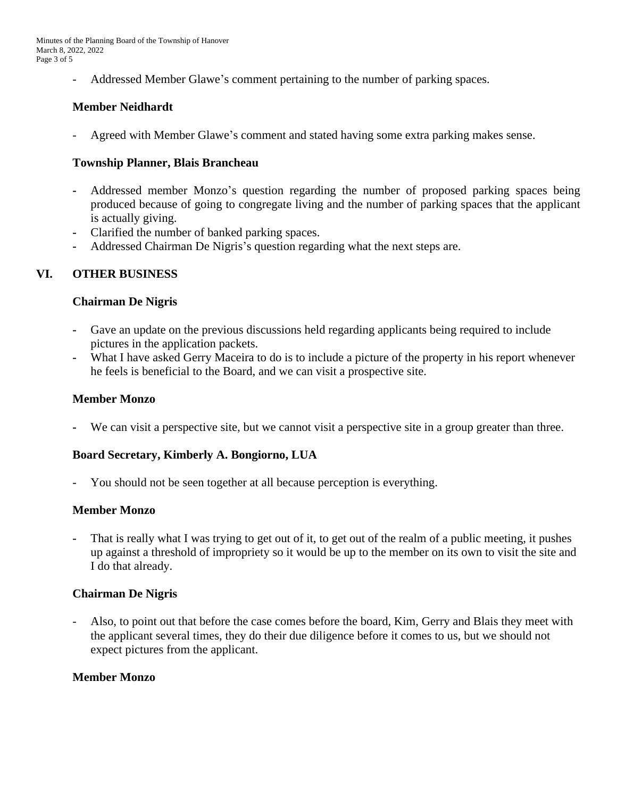- Addressed Member Glawe's comment pertaining to the number of parking spaces.

# **Member Neidhardt**

Agreed with Member Glawe's comment and stated having some extra parking makes sense.

#### **Township Planner, Blais Brancheau**

- **-** Addressed member Monzo's question regarding the number of proposed parking spaces being produced because of going to congregate living and the number of parking spaces that the applicant is actually giving.
- **-** Clarified the number of banked parking spaces.
- **-** Addressed Chairman De Nigris's question regarding what the next steps are.

### **VI. OTHER BUSINESS**

#### **Chairman De Nigris**

- **-** Gave an update on the previous discussions held regarding applicants being required to include pictures in the application packets.
- **-** What I have asked Gerry Maceira to do is to include a picture of the property in his report whenever he feels is beneficial to the Board, and we can visit a prospective site.

#### **Member Monzo**

**-** We can visit a perspective site, but we cannot visit a perspective site in a group greater than three.

#### **Board Secretary, Kimberly A. Bongiorno, LUA**

You should not be seen together at all because perception is everything.

#### **Member Monzo**

**-** That is really what I was trying to get out of it, to get out of the realm of a public meeting, it pushes up against a threshold of impropriety so it would be up to the member on its own to visit the site and I do that already.

#### **Chairman De Nigris**

Also, to point out that before the case comes before the board, Kim, Gerry and Blais they meet with the applicant several times, they do their due diligence before it comes to us, but we should not expect pictures from the applicant.

#### **Member Monzo**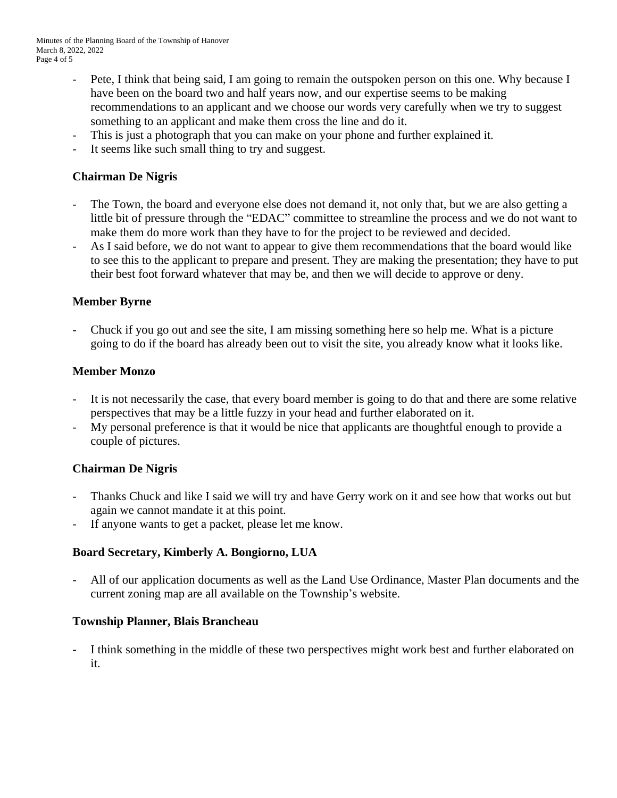- Pete, I think that being said, I am going to remain the outspoken person on this one. Why because I have been on the board two and half years now, and our expertise seems to be making recommendations to an applicant and we choose our words very carefully when we try to suggest something to an applicant and make them cross the line and do it.
- This is just a photograph that you can make on your phone and further explained it.
- It seems like such small thing to try and suggest.

# **Chairman De Nigris**

- The Town, the board and everyone else does not demand it, not only that, but we are also getting a little bit of pressure through the "EDAC" committee to streamline the process and we do not want to make them do more work than they have to for the project to be reviewed and decided.
- As I said before, we do not want to appear to give them recommendations that the board would like to see this to the applicant to prepare and present. They are making the presentation; they have to put their best foot forward whatever that may be, and then we will decide to approve or deny.

### **Member Byrne**

- Chuck if you go out and see the site, I am missing something here so help me. What is a picture going to do if the board has already been out to visit the site, you already know what it looks like.

#### **Member Monzo**

- It is not necessarily the case, that every board member is going to do that and there are some relative perspectives that may be a little fuzzy in your head and further elaborated on it.
- My personal preference is that it would be nice that applicants are thoughtful enough to provide a couple of pictures.

# **Chairman De Nigris**

- Thanks Chuck and like I said we will try and have Gerry work on it and see how that works out but again we cannot mandate it at this point.
- If anyone wants to get a packet, please let me know.

# **Board Secretary, Kimberly A. Bongiorno, LUA**

All of our application documents as well as the Land Use Ordinance, Master Plan documents and the current zoning map are all available on the Township's website.

#### **Township Planner, Blais Brancheau**

**-** I think something in the middle of these two perspectives might work best and further elaborated on it.